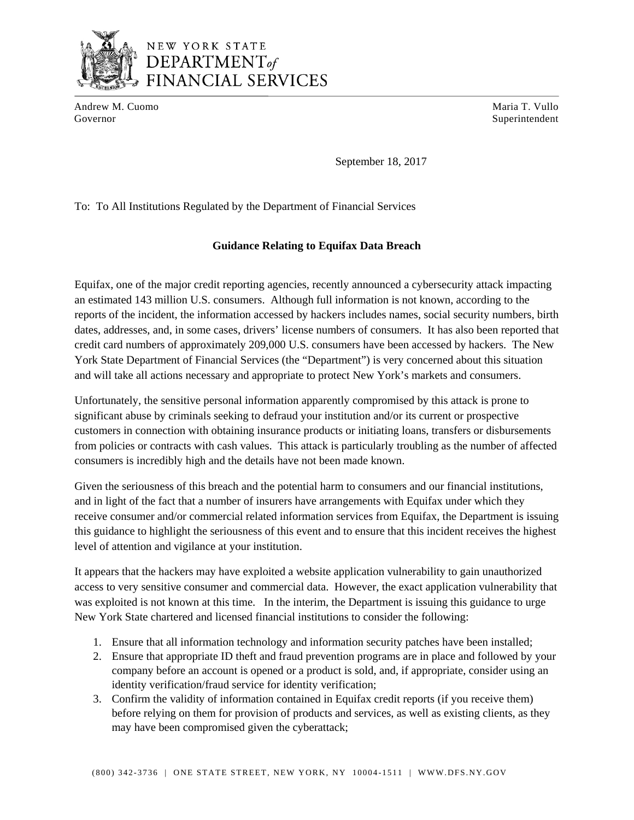

## NEW YORK STATE DEPARTMENT<sub>of</sub> **FINANCIAL SERVICES**

Andrew M. Cuomo **Maria T. Vullo** Maria T. Vullo Governor Superintendent Superintendent Superintendent Superintendent Superintendent Superintendent Superintendent Superintendent Superintendent Superintendent Superintendent Superintendent Superintendent Superintendent Sup

September 18, 2017

To: To All Institutions Regulated by the Department of Financial Services

## **Guidance Relating to Equifax Data Breach**

Equifax, one of the major credit reporting agencies, recently announced a cybersecurity attack impacting an estimated 143 million U.S. consumers. Although full information is not known, according to the reports of the incident, the information accessed by hackers includes names, social security numbers, birth dates, addresses, and, in some cases, drivers' license numbers of consumers. It has also been reported that credit card numbers of approximately 209,000 U.S. consumers have been accessed by hackers. The New York State Department of Financial Services (the "Department") is very concerned about this situation and will take all actions necessary and appropriate to protect New York's markets and consumers.

Unfortunately, the sensitive personal information apparently compromised by this attack is prone to significant abuse by criminals seeking to defraud your institution and/or its current or prospective customers in connection with obtaining insurance products or initiating loans, transfers or disbursements from policies or contracts with cash values. This attack is particularly troubling as the number of affected consumers is incredibly high and the details have not been made known.

Given the seriousness of this breach and the potential harm to consumers and our financial institutions, and in light of the fact that a number of insurers have arrangements with Equifax under which they receive consumer and/or commercial related information services from Equifax, the Department is issuing this guidance to highlight the seriousness of this event and to ensure that this incident receives the highest level of attention and vigilance at your institution.

It appears that the hackers may have exploited a website application vulnerability to gain unauthorized access to very sensitive consumer and commercial data. However, the exact application vulnerability that was exploited is not known at this time. In the interim, the Department is issuing this guidance to urge New York State chartered and licensed financial institutions to consider the following:

- 1. Ensure that all information technology and information security patches have been installed;
- 2. Ensure that appropriate ID theft and fraud prevention programs are in place and followed by your company before an account is opened or a product is sold, and, if appropriate, consider using an identity verification/fraud service for identity verification;
- 3. Confirm the validity of information contained in Equifax credit reports (if you receive them) before relying on them for provision of products and services, as well as existing clients, as they may have been compromised given the cyberattack;